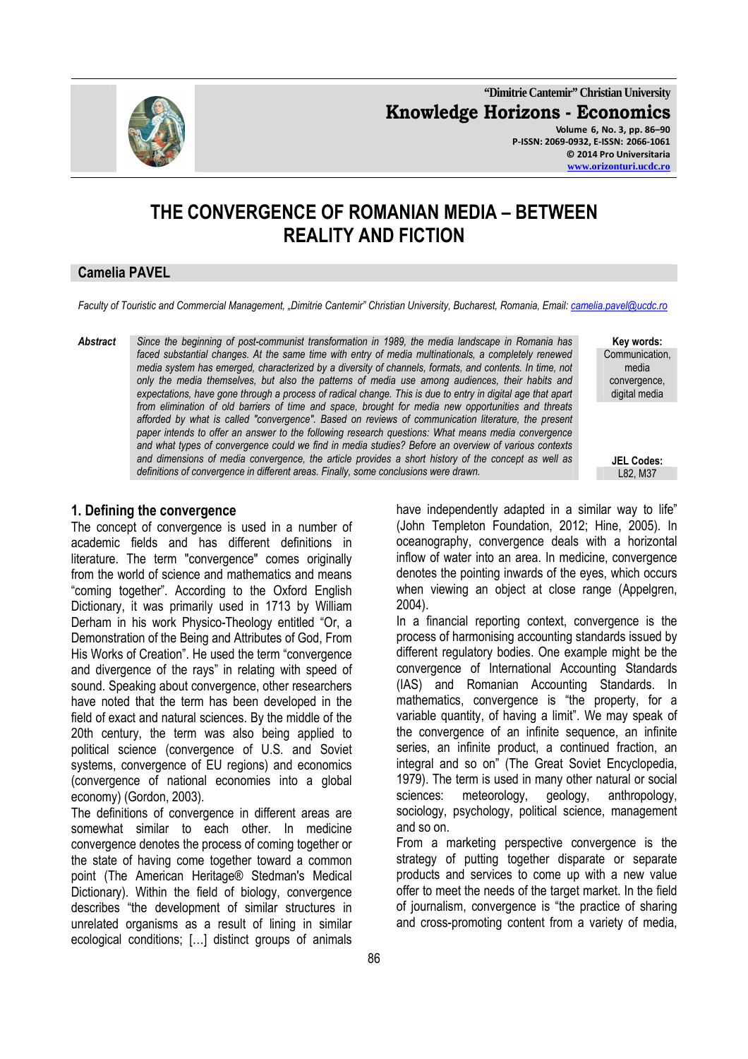

**"Dimitrie Cantemir" Christian University Knowledge Horizons - Economics Volume 6, No. 3, pp. 86–90 P-ISSN: 2069-0932, E-ISSN: 2066-1061 © 2014 Pro Universitaria** 

#### **www.orizonturi.ucdc.ro**

# **THE CONVERGENCE OF ROMANIAN MEDIA – BETWEEN REALITY AND FICTION**

### **Camelia PAVEL**

*Faculty of Touristic and Commercial Management, "Dimitrie Cantemir" Christian University, Bucharest, Romania, Email: camelia.pavel@ucdc.ro*

*Abstract Since the beginning of post-communist transformation in 1989, the media landscape in Romania has faced substantial changes. At the same time with entry of media multinationals, a completely renewed media system has emerged, characterized by a diversity of channels, formats, and contents. In time, not only the media themselves, but also the patterns of media use among audiences, their habits and expectations, have gone through a process of radical change. This is due to entry in digital age that apart from elimination of old barriers of time and space, brought for media new opportunities and threats afforded by what is called "convergence". Based on reviews of communication literature, the present paper intends to offer an answer to the following research questions: What means media convergence and what types of convergence could we find in media studies? Before an overview of various contexts and dimensions of media convergence, the article provides a short history of the concept as well as definitions of convergence in different areas. Finally, some conclusions were drawn.* 

**Key words:**  Communication, media convergence, digital media

**JEL Codes:**

#### **1. Defining the convergence**

The concept of convergence is used in a number of academic fields and has different definitions in literature. The term "convergence" comes originally from the world of science and mathematics and means "coming together". According to the Oxford English Dictionary, it was primarily used in 1713 by William Derham in his work Physico-Theology entitled "Or, a Demonstration of the Being and Attributes of God, From His Works of Creation". He used the term "convergence and divergence of the rays" in relating with speed of sound. Speaking about convergence, other researchers have noted that the term has been developed in the field of exact and natural sciences. By the middle of the 20th century, the term was also being applied to political science (convergence of U.S. and Soviet systems, convergence of EU regions) and economics (convergence of national economies into a global economy) (Gordon, 2003).

The definitions of convergence in different areas are somewhat similar to each other. In medicine convergence denotes the process of coming together or the state of having come together toward a common point (The American Heritage® Stedman's Medical Dictionary). Within the field of biology, convergence describes "the development of similar structures in unrelated organisms as a result of lining in similar ecological conditions; […] distinct groups of animals

(John Templeton Foundation, 2012; Hine, 2005). In oceanography, convergence deals with a horizontal inflow of water into an area. In medicine, convergence denotes the pointing inwards of the eyes, which occurs when viewing an object at close range (Appelgren, 2004). In a financial reporting context, convergence is the

have independently adapted in a similar way to life"

process of harmonising accounting standards issued by different regulatory bodies. One example might be the convergence of International Accounting Standards (IAS) and Romanian Accounting Standards. In mathematics, convergence is "the property, for a variable quantity, of having a limit". We may speak of the convergence of an infinite sequence, an infinite series, an infinite product, a continued fraction, an integral and so on" (The Great Soviet Encyclopedia, 1979). The term is used in many other natural or social sciences: meteorology, geology, anthropology, sociology, psychology, political science, management and so on.

From a marketing perspective convergence is the strategy of putting together disparate or separate products and services to come up with a new value offer to meet the needs of the target market. In the field of journalism, convergence is "the practice of sharing and cross-promoting content from a variety of media,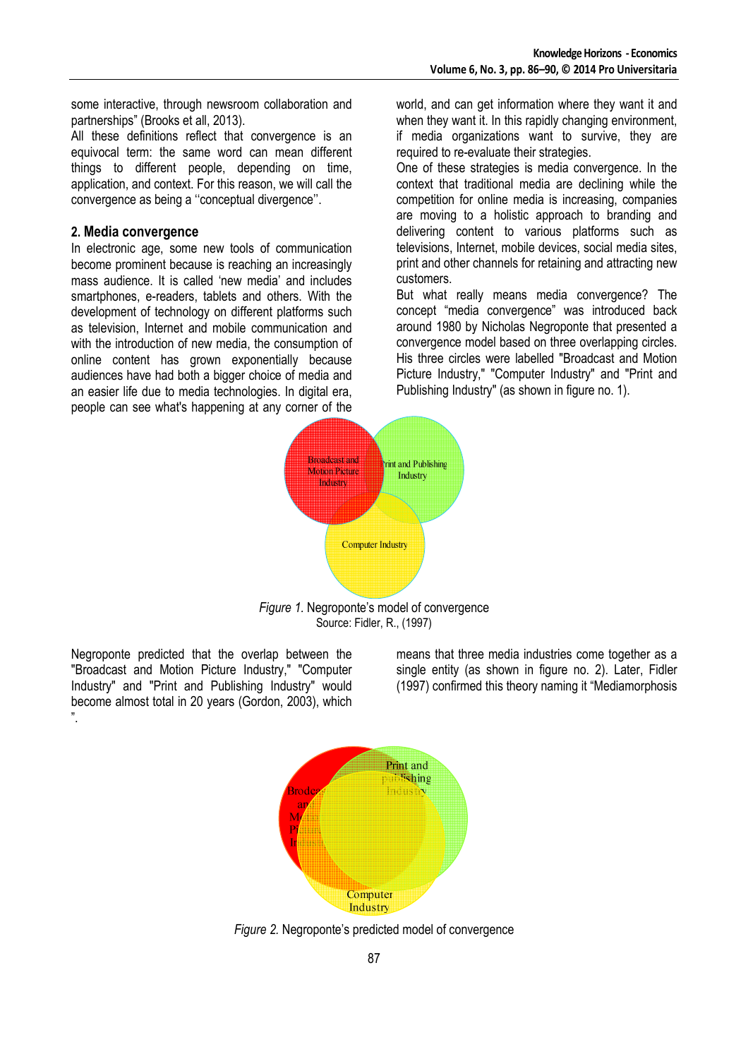some interactive, through newsroom collaboration and partnerships" (Brooks et all, 2013).

All these definitions reflect that convergence is an equivocal term: the same word can mean different things to different people, depending on time, application, and context. For this reason, we will call the convergence as being a ''conceptual divergence''.

#### **2. Media convergence**

In electronic age, some new tools of communication become prominent because is reaching an increasingly mass audience. It is called 'new media' and includes smartphones, e-readers, tablets and others. With the development of technology on different platforms such as television, Internet and mobile communication and with the introduction of new media, the consumption of online content has grown exponentially because audiences have had both a bigger choice of media and an easier life due to media technologies. In digital era, people can see what's happening at any corner of the

world, and can get information where they want it and when they want it. In this rapidly changing environment, if media organizations want to survive, they are required to re-evaluate their strategies.

One of these strategies is media convergence. In the context that traditional media are declining while the competition for online media is increasing, companies are moving to a holistic approach to branding and delivering content to various platforms such as televisions, Internet, mobile devices, social media sites, print and other channels for retaining and attracting new customers.

But what really means media convergence? The concept "media convergence" was introduced back around 1980 by Nicholas Negroponte that presented a convergence model based on three overlapping circles. His three circles were labelled "Broadcast and Motion Picture Industry," "Computer Industry" and "Print and Publishing Industry" (as shown in figure no. 1).



Source: Fidler, R., (1997)

Negroponte predicted that the overlap between the "Broadcast and Motion Picture Industry," "Computer Industry" and "Print and Publishing Industry" would become almost total in 20 years (Gordon, 2003), which ".

means that three media industries come together as a single entity (as shown in figure no. 2). Later, Fidler (1997) confirmed this theory naming it "Mediamorphosis



*Figure 2.* Negroponte's predicted model of convergence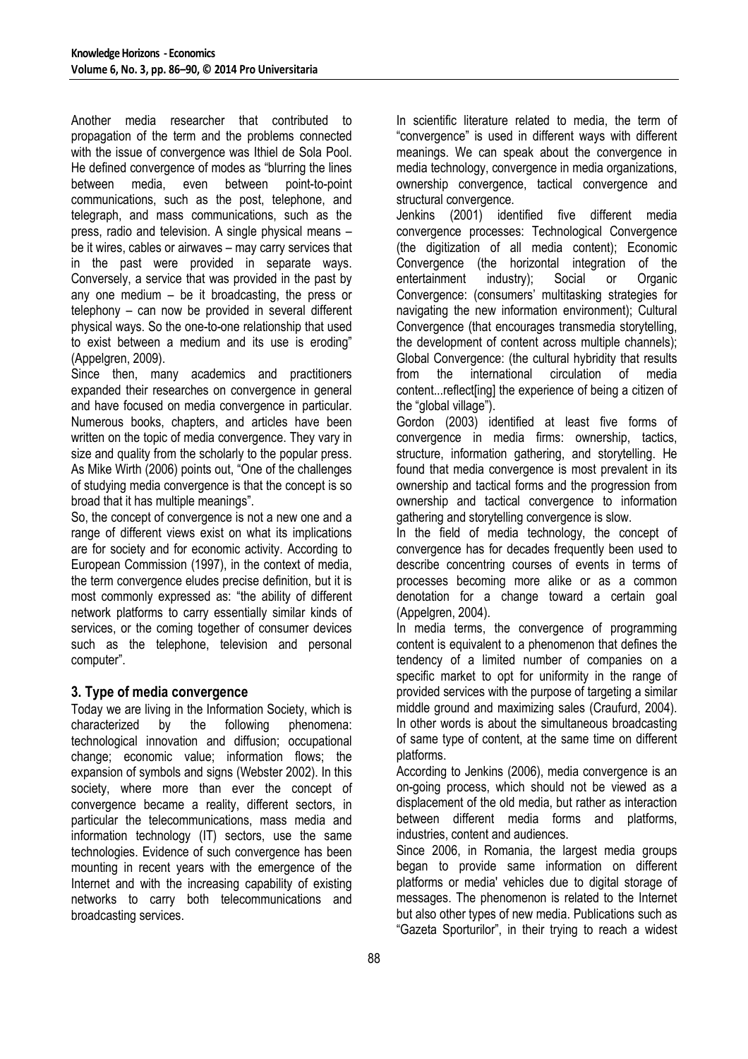Another media researcher that contributed to propagation of the term and the problems connected with the issue of convergence was Ithiel de Sola Pool. He defined convergence of modes as "blurring the lines between media, even between point-to-point communications, such as the post, telephone, and telegraph, and mass communications, such as the press, radio and television. A single physical means – be it wires, cables or airwaves – may carry services that in the past were provided in separate ways. Conversely, a service that was provided in the past by any one medium – be it broadcasting, the press or telephony – can now be provided in several different physical ways. So the one-to-one relationship that used to exist between a medium and its use is eroding" (Appelgren, 2009).

Since then, many academics and practitioners expanded their researches on convergence in general and have focused on media convergence in particular. Numerous books, chapters, and articles have been written on the topic of media convergence. They vary in size and quality from the scholarly to the popular press. As Mike Wirth (2006) points out, "One of the challenges of studying media convergence is that the concept is so broad that it has multiple meanings".

So, the concept of convergence is not a new one and a range of different views exist on what its implications are for society and for economic activity. According to European Commission (1997), in the context of media, the term convergence eludes precise definition, but it is most commonly expressed as: "the ability of different network platforms to carry essentially similar kinds of services, or the coming together of consumer devices such as the telephone, television and personal computer".

# **3. Type of media convergence**

Today we are living in the Information Society, which is characterized by the following phenomena: technological innovation and diffusion; occupational change; economic value; information flows; the expansion of symbols and signs (Webster 2002). In this society, where more than ever the concept of convergence became a reality, different sectors, in particular the telecommunications, mass media and information technology (IT) sectors, use the same technologies. Evidence of such convergence has been mounting in recent years with the emergence of the Internet and with the increasing capability of existing networks to carry both telecommunications and broadcasting services.

In scientific literature related to media, the term of "convergence" is used in different ways with different meanings. We can speak about the convergence in media technology, convergence in media organizations, ownership convergence, tactical convergence and structural convergence.

Jenkins (2001) identified five different media convergence processes: Technological Convergence (the digitization of all media content); Economic Convergence (the horizontal integration of the entertainment industry); Social or Organic Convergence: (consumers' multitasking strategies for navigating the new information environment); Cultural Convergence (that encourages transmedia storytelling, the development of content across multiple channels); Global Convergence: (the cultural hybridity that results from the international circulation of media content...reflect[ing] the experience of being a citizen of the "global village").

Gordon (2003) identified at least five forms of convergence in media firms: ownership, tactics, structure, information gathering, and storytelling. He found that media convergence is most prevalent in its ownership and tactical forms and the progression from ownership and tactical convergence to information gathering and storytelling convergence is slow.

In the field of media technology, the concept of convergence has for decades frequently been used to describe concentring courses of events in terms of processes becoming more alike or as a common denotation for a change toward a certain goal (Appelgren, 2004).

In media terms, the convergence of programming content is equivalent to a phenomenon that defines the tendency of a limited number of companies on a specific market to opt for uniformity in the range of provided services with the purpose of targeting a similar middle ground and maximizing sales (Craufurd, 2004). In other words is about the simultaneous broadcasting of same type of content, at the same time on different platforms.

According to Jenkins (2006), media convergence is an on-going process, which should not be viewed as a displacement of the old media, but rather as interaction between different media forms and platforms, industries, content and audiences.

Since 2006, in Romania, the largest media groups began to provide same information on different platforms or media' vehicles due to digital storage of messages. The phenomenon is related to the Internet but also other types of new media. Publications such as "Gazeta Sporturilor", in their trying to reach a widest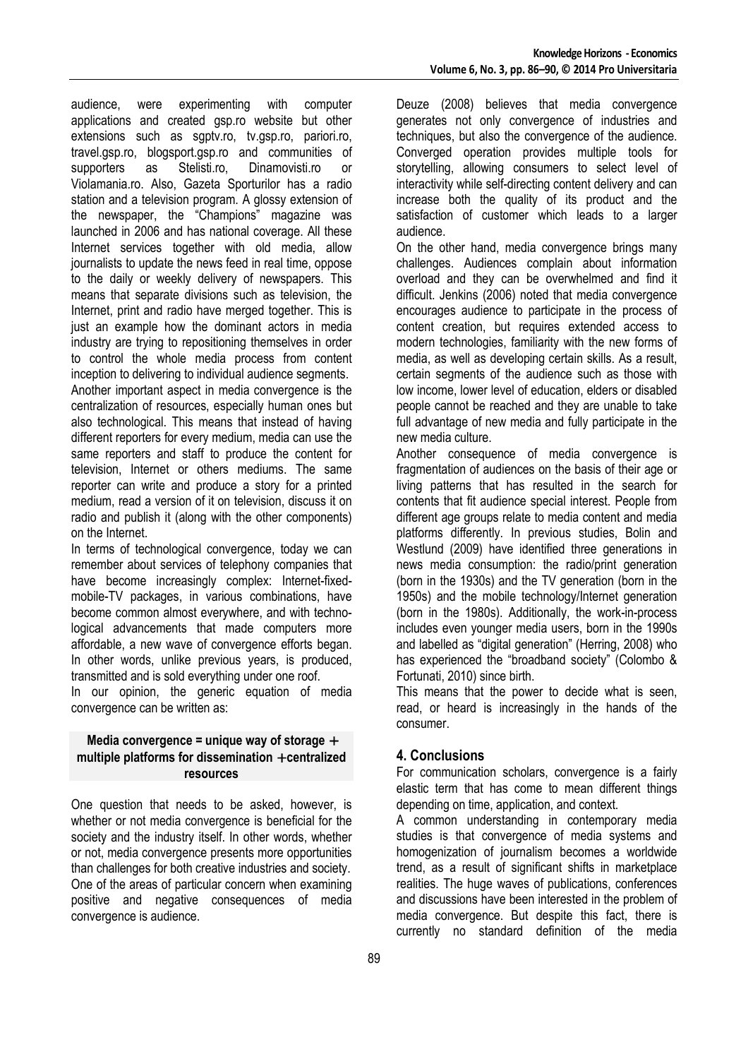audience, were experimenting with computer applications and created gsp.ro website but other extensions such as sgptv.ro, tv.gsp.ro, pariori.ro, travel.gsp.ro, blogsport.gsp.ro and communities of supporters as Stelisti.ro, Dinamovisti.ro or Violamania.ro. Also, Gazeta Sporturilor has a radio station and a television program. A glossy extension of the newspaper, the "Champions" magazine was launched in 2006 and has national coverage. All these Internet services together with old media, allow journalists to update the news feed in real time, oppose to the daily or weekly delivery of newspapers. This means that separate divisions such as television, the Internet, print and radio have merged together. This is just an example how the dominant actors in media industry are trying to repositioning themselves in order to control the whole media process from content inception to delivering to individual audience segments. Another important aspect in media convergence is the centralization of resources, especially human ones but also technological. This means that instead of having different reporters for every medium, media can use the same reporters and staff to produce the content for television, Internet or others mediums. The same reporter can write and produce a story for a printed medium, read a version of it on television, discuss it on radio and publish it (along with the other components) on the Internet.

In terms of technological convergence, today we can remember about services of telephony companies that have become increasingly complex: Internet-fixedmobile-TV packages, in various combinations, have become common almost everywhere, and with technological advancements that made computers more affordable, a new wave of convergence efforts began. In other words, unlike previous years, is produced, transmitted and is sold everything under one roof.

In our opinion, the generic equation of media convergence can be written as:

#### **Media convergence = unique way of storage** + **multiple platforms for dissemination** + **centralized resources**

One question that needs to be asked, however, is whether or not media convergence is beneficial for the society and the industry itself. In other words, whether or not, media convergence presents more opportunities than challenges for both creative industries and society. One of the areas of particular concern when examining positive and negative consequences of media convergence is audience.

Deuze (2008) believes that media convergence generates not only convergence of industries and techniques, but also the convergence of the audience. Converged operation provides multiple tools for storytelling, allowing consumers to select level of interactivity while self-directing content delivery and can increase both the quality of its product and the satisfaction of customer which leads to a larger audience.

On the other hand, media convergence brings many challenges. Audiences complain about information overload and they can be overwhelmed and find it difficult. Jenkins (2006) noted that media convergence encourages audience to participate in the process of content creation, but requires extended access to modern technologies, familiarity with the new forms of media, as well as developing certain skills. As a result, certain segments of the audience such as those with low income, lower level of education, elders or disabled people cannot be reached and they are unable to take full advantage of new media and fully participate in the new media culture.

Another consequence of media convergence is fragmentation of audiences on the basis of their age or living patterns that has resulted in the search for contents that fit audience special interest. People from different age groups relate to media content and media platforms differently. In previous studies, Bolin and Westlund (2009) have identified three generations in news media consumption: the radio/print generation (born in the 1930s) and the TV generation (born in the 1950s) and the mobile technology/Internet generation (born in the 1980s). Additionally, the work-in-process includes even younger media users, born in the 1990s and labelled as "digital generation" (Herring, 2008) who has experienced the "broadband society" (Colombo & Fortunati, 2010) since birth.

This means that the power to decide what is seen, read, or heard is increasingly in the hands of the consumer.

# **4. Conclusions**

For communication scholars, convergence is a fairly elastic term that has come to mean different things depending on time, application, and context.

A common understanding in contemporary media studies is that convergence of media systems and homogenization of journalism becomes a worldwide trend, as a result of significant shifts in marketplace realities. The huge waves of publications, conferences and discussions have been interested in the problem of media convergence. But despite this fact, there is currently no standard definition of the media